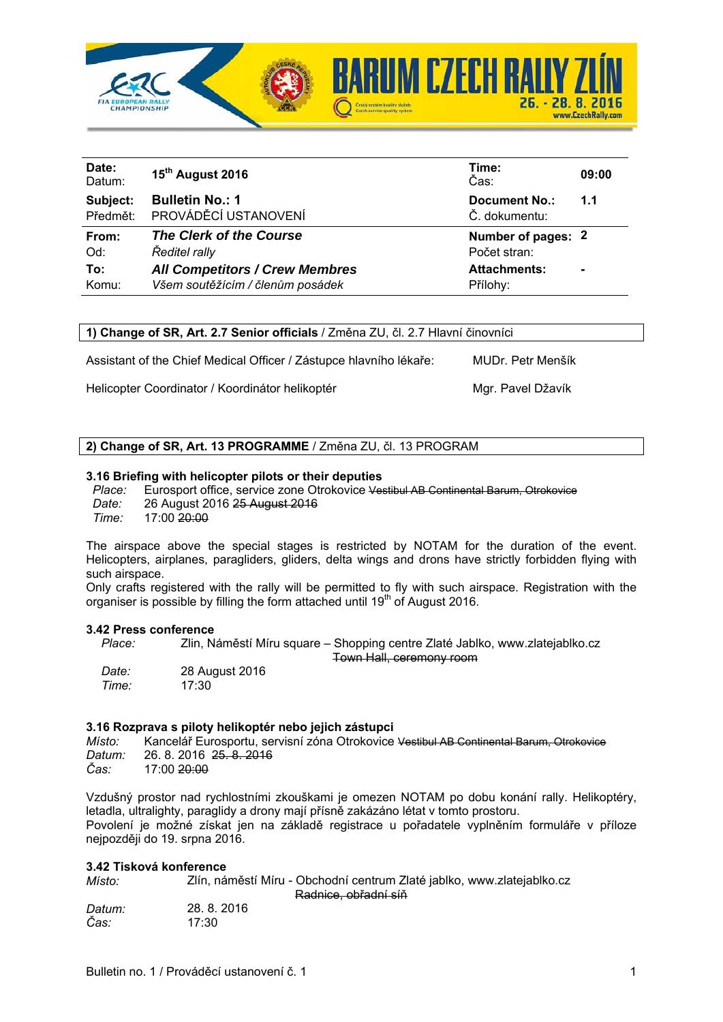

| Date:<br>Datum: | 15 <sup>th</sup> August 2016          | Time:<br>Čas:        | 09:00 |
|-----------------|---------------------------------------|----------------------|-------|
| Subject:        | <b>Bulletin No.: 1</b>                | <b>Document No.:</b> | 1.1   |
| Předmět:        | PROVÁDĚCÍ USTANOVENÍ                  | Č. dokumentu:        |       |
| From:           | The Clerk of the Course               | Number of pages: 2   |       |
| Od:             | Ředitel rally                         | Počet stran:         |       |
| To:             | <b>All Competitors / Crew Membres</b> | <b>Attachments:</b>  | ٠     |
| Komu:           | Všem soutěžícím / členům posádek      | Přílohy:             |       |

**1) Change of SR, Art. 2.7 Senior officials** / Změna ZU, čl. 2.7 Hlavní činovníci

Assistant of the Chief Medical Officer / Zástupce hlavního lékaře: MUDr. Petr Menšík

Helicopter Coordinator / Koordinátor helikoptér Mgr. Pavel Džavík

# **2) Change of SR, Art. 13 PROGRAMME** / Změna ZU, čl. 13 PROGRAM

#### **3.16 Briefing with helicopter pilots or their deputies**

*Place:* Eurosport office, service zone Otrokovice Vestibul AB Continental Barum, Otrokovice *Date:* 26 August 2016 25 August 2016 *Time:* 17:00 20:00

The airspace above the special stages is restricted by NOTAM for the duration of the event. Helicopters, airplanes, paragliders, gliders, delta wings and drons have strictly forbidden flying with such airspace.

Only crafts registered with the rally will be permitted to fly with such airspace. Registration with the organiser is possible by filling the form attached until 19<sup>th</sup> of August 2016.

#### **3.42 Press conference**

*Place:* Zlin, Náměstí Míru square – Shopping centre Zlaté Jablko, www.zlatejablko.cz Town Hall, ceremony room

*Date:* 28 August 2016 *Time:* 

# **3.16 Rozprava s piloty helikoptér nebo jejich zástupci**

*Místo:* Kancelář Eurosportu, servisní zóna Otrokovice Vestibul AB Continental Barum, Otrokovice *Datum:* 26. 8. 2016 <del>25. 8. 2016</del><br>Čas: 17:00 <del>20:00</del> *Čas:* 17:00 20:00

Vzdušný prostor nad rychlostními zkouškami je omezen NOTAM po dobu konání rally. Helikoptéry, letadla, ultralighty, paraglidy a drony mají přísně zakázáno létat v tomto prostoru. Povolení je možné získat jen na základě registrace u pořadatele vyplněním formuláře v příloze nejpozději do 19. srpna 2016.

## **3.42 Tisková konference**

| Místo: | Zlín, náměstí Míru - Obchodní centrum Zlaté jablko, www.zlatejablko.cz |
|--------|------------------------------------------------------------------------|
|        | Radnice, obřadní síň                                                   |
| Datum: | 28.8.2016                                                              |
| Čas:   | 17:30                                                                  |